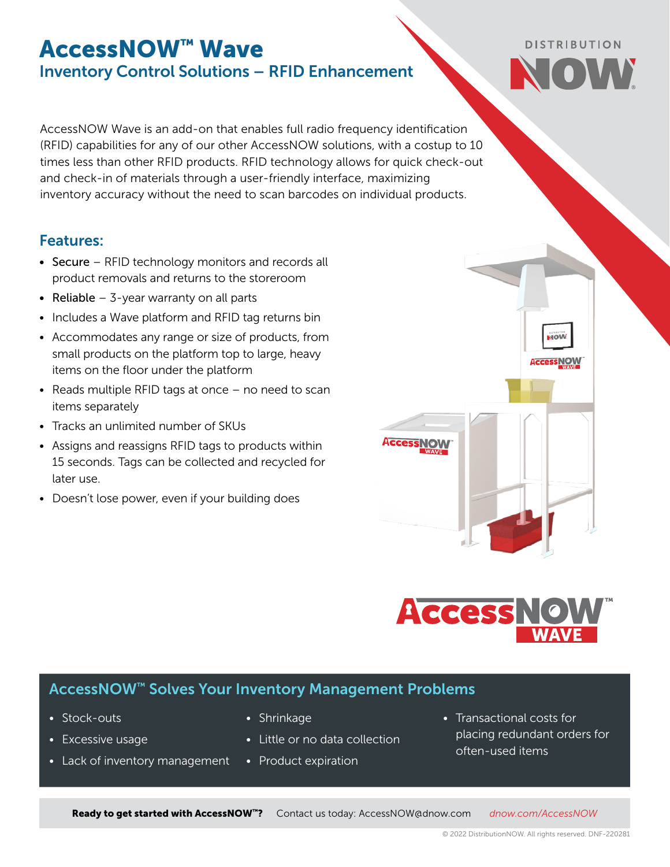## AccessNOW™ Wave Inventory Control Solutions – RFID Enhancement

AccessNOW Wave is an add-on that enables full radio frequency identification (RFID) capabilities for any of our other AccessNOW solutions, with a costup to 10 times less than other RFID products. RFID technology allows for quick check-out and check-in of materials through a user-friendly interface, maximizing inventory accuracy without the need to scan barcodes on individual products.

### Features:

- Secure RFID technology monitors and records all product removals and returns to the storeroom
- Reliable  $-$  3-year warranty on all parts
- Includes a Wave platform and RFID tag returns bin
- Accommodates any range or size of products, from small products on the platform top to large, heavy items on the floor under the platform
- Reads multiple RFID tags at once no need to scan items separately
- Tracks an unlimited number of SKUs
- Assigns and reassigns RFID tags to products within 15 seconds. Tags can be collected and recycled for later use.
- Doesn't lose power, even if your building does

# **Access NO**

### AccessNOW™ Solves Your Inventory Management Problems

- Stock-outs
- Excessive usage
- Lack of inventory management
- Shrinkage
- Little or no data collection

Ready to get started with AccessNOW™? Contact us today: [AccessNOW@dnow.com](mailto:AccessNOW%40dnow.com?subject=AccessNOW%20Inquiry) *[dnow.com/](https://www.dnow.com/supply-chain-services/inventory-control)AccessNOW*

- Product expiration
- Transactional costs for placing redundant orders for often-used items

Access NOW



MOW

**Access NOW**